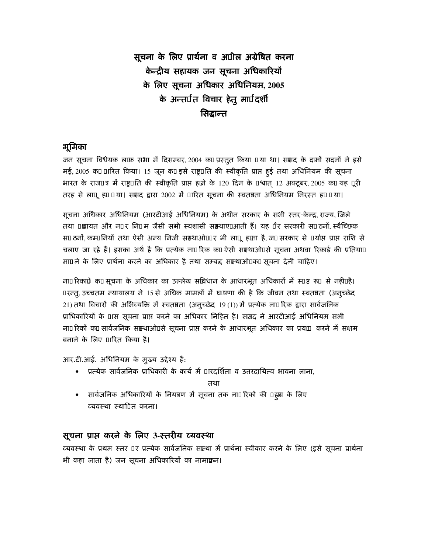# सूचना के लिए प्रार्थना व अील अग्रेषित करना केन्द्रीय सहायक जन सूचना अधिकारियों के लिए सूचना अधिकार अधिनियम, 2005 के अन्त" त विचार हेत् मा" दर्शी सिद्धान्त

## भूमिका

जन सूचना विधेयक ल)क सभा में दिसम्बर, 2004 क) प्रस्तुत किया " या था। सश्रद के द)नों सदनों ने इसे मई, 2005 क) ारित किया। 15 जून क) इसे राष्ट्र ति की स्वीकृति प्राप्त हुई तथा अधिनियम की सूचना भारत के राज त्र में राष्ट्र ति की स्वीकृति प्राप्त ह)ने के 120 दिन के श्वात् 12 अक्टूबर, 2005 क) यह ूरी तरह से ला"ू ह) " या। स**श**द द्वारा 2002 में ारित सूचना की स्वत**श्**ता अधिनियम निरस्त ह) " या।

सूचना अधिकार अधिनियम (आरटीआई अधिनियम) के अधीन सरकार के सभी स्तर-केन्द्र, राज्य, जिले तथा **द्या**यत और न" र नि" म जैसी सभी स्वशासी स**®**थाए0आती हैं। यह "ैर सरकारी स0ठनों, स्वैच्छिक स0ठनों, कम नियों तथा ऐसी अन्य निजी संस्थाओ0 र भी ला"ू ह)ता है, ज) सरकार से र्यास प्राप्त राशि से चलाए जा रहे हैं। इसका अर्थ है कि प्रत्येक ना" रिक क) ऐसी संस्थाओं0से सूचना अथवा रिकार्ड की प्रतिया0 मा0ने के लिए प्रार्थना करने का अधिकार है तथा सम्बद्ध संस्थाओ0क) सूचना देनी चाहिए।

ना" रिका0े क) सूचना के अधिकार का उल्लेख सप्रिधान के आधारभूत अधिकारों में रू ष्ट रू से नही0है। रन्तु, उच्चतम न्यायालय ने 15 से अधिक मामलों में घ)षणा की है कि जीवन तथा स्वतुर्वता (अनुच्छेद 21) तथा विचारों की अभिव्यक्ति में स्वतंष्ठता (अनुच्छेद 19(1)) में प्रत्येक ना" रिक द्वारा सार्वजनिक प्राधिकारियों के ास सूचना प्राप्त करने का अधिकार निहित है। स**श**द ने आरटीआई अधिनियम सभी ना" रिकों क) सार्वजनिक संस्थाओं0से सूचना प्राप्त करने के आधारभूत अधिकार का प्रय)" करने में सक्षम बनाने के लिए ारित किया है।

आर.टी.आई. अधिनियम के मुख्य उद्देश्य हैं:

• प्रत्येक सार्वजनिक प्राधिकारी के कार्य में ारदर्शिता व उत्तरदायित्व भावना लाना,

तथा

• सार्वजनिक अधिकारियों के निय**र्भ्र**ण में सूचना तक ना" रिकों की )ह्**द्य** के लिए व्यवस्था स्थानि करना।

## सूचना प्राप्त करने के लिए 3-स्तरीय व्यवस्था

व्यवस्था के प्रथम स्तर र प्रत्येक सार्वजनिक संष्टथा में प्रार्थना स्वीकार करने के लिए (इसे सूचना प्रार्थना भी कहा जाता है) जन सूचना अधिकारियों का नामा**फ**़न।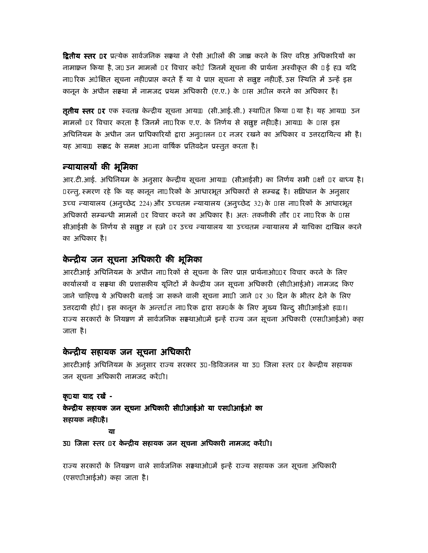**द्वितीय स्तर र** प्रत्येक सार्वजनिक स<del>8</del>था ने ऐसी अीलों की जा**ा** करने के लिए वरिष्ठ अधिकारियों का नामा**फ़**न किया है, ज) उन मामलों र विचार करें"े जिनमें सूचना की प्रार्थना अस्वीकृत की " ई ह)। यदि ना" रिक अ`क्षित सूचना नही0प्राप्त करते हैं या वे प्राप्त सूचना से स**म्**ष्ट नही0हैं, उस स्थिति में उन्हें इस कानून के अधीन संस्था में नामजद प्रथम अधिकारी (ए.ए.) के ास अील करने का अधिकार है।

**तृतीय स्तर) र** एक स्वत**0** केन्द्रीय सूचना आय)" (सी.आई.सी.) स्थाित किया " या है। यह आय)" उन मामलों र विचार करता है जिनमें ना" रिक ए.ए. के निर्णय से संसुष्ट नही0है। आय)" के ास इस अधिनियम के अधीन जन प्राधिकारियों द्वारा अन् ालन र नजर रखने का अधिकार व उत्तरदायित्व भी है। यह आय)" स**श**द के समक्ष अ ना वार्षिक प्रतिवदेन प्रस्तुत करता है।

## न्यायालयों की भूमिका

आर.टी.आई. अधिनियम के अनुसार केन्द्रीय सूचना आय)" (सीआईसी) का निर्णय सभी क्षों र बाध्य है। रन्तु, स्मरण रहे कि यह कानून ना" रिकों के आधारभूत अधिकारों से सम्बद्<mark>ध</mark> है। स<mark>ा</mark>धिधान के अनुसार उच्च न्यायालय (अनुच्छेद 224)और उच्चतम न्यायालय (अनुच्छेद 32)के ास ना" रिकों के आधारभूत अधिकारों सम्बन्धी मामलों र विचार करने का अधिकार है। अतः तकनीकी तौर र ना" रिक के ास सीआईसी के निर्णय से स**मु**ष्ट न ह)ने र उच्च न्यायालय या उच्चतम न्यायालय में याचिका दाखिल करने का अधिकार है।

## केन्द्रीय जन सूचना अधिकारी की भूमिका

आरटीआई अधिनियम के अधीन ना" रिकों से सूचना के लिए प्राप्त प्रार्थनाओ0 र विचार करने के लिए कार्यालयों व स**ए**था की प्रशासकीय यूनिटों में केन्द्रीय जन सूचना अधिकारी (सी ीआईओ) नामजद किए जाने चाहिए® ये अधिकारी बताई जा सकने वाली सूचना मा0ी जाने ं र 30 दिन के भीतर देने के लिए उत्तरदायी हों"े। इस कानून के अन्त"'त ना" रिक द्वारा सम् के के लिए मुख्य बिन्दु सी 'ीआईओ ह)" ा। राज्य सरकारों के निय**र्ग्ण** में सार्वजनिक स**म्**थाओ0में इन्हें राज्य जन सूचना अधिकारी (एस ीआईओ) कहा जाता है।

### केन्द्रीय सहायक जन सूचना अधिकारी

आरटीआई अधिनियम के अनुसार राज्य सरकार उ -डिविजनल या उ जिला स्तर र केन्द्रीय सहायक जन सूचना अधिकारी नामजद करें"ो।

कृया याद रखें -केन्द्रीय सहायक जन सूचना अधिकारी सी `ीआईओ या एस `ीआईओ का सहायक नही0है। या

उ जिला स्तर र केन्द्रीय सहायक जन सूचना अधिकारी नामजद करें"ी।

राज्य सरकारों के निय**छ**ण वाले सार्वजनिक संष्ठ्याओं0में इन्हें राज्य सहायक जन सूचना अधिकारी (एसए 'ीआईओ) कहा जाता है।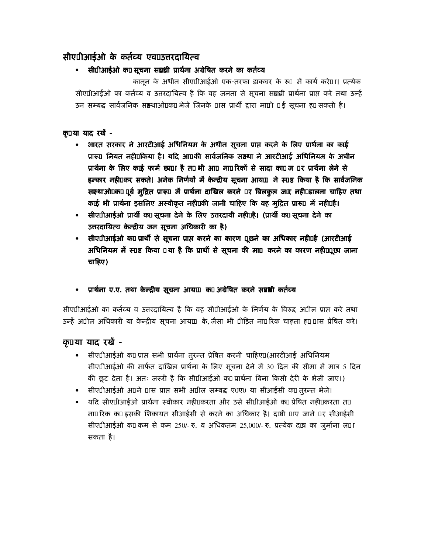## सीए 'ीआईओ के कर्तव्य एव0उत्तरदायित्व

### • सी 'आईओ क) सूचना स**0धी** प्रार्थना अग्रेषित करने का कर्तव्य

कानून के अधीन सीए 'ीआईओ एक-तरफा डाकघर के रूप में कार्य करे" ।। प्रत्येक सीए `ीआईओ का कर्तव्य व उत्तरदायित्व है कि वह जनता से सूचना संष्ठेष्ठी प्रार्थना प्राप्त करे तथा उन्हें उन सम्बद्ध सार्वजनिक संस्थाओ0क) भेजे जिनके ास प्रार्थी द्वारा माणी " ई सूचना ह) सकती है।

### क या याद रखें -

- भारत सरकार ने आरटीआई अधिनियम के अधीन सूचना प्राप्त करने के लिए प्रार्थना का क)ई  $\bullet$ प्रारू नियत नही0किया है। यदि आ की सार्वजनिक संस्था ने आरटीआई अधिनियम के अधीन प्रार्थना के लिए क)ई फार्म छा ा है त) भी आजना" रिकों से सादा का" जबर प्रार्थना लेने से इन्कार नही0कर सकते। अनेक निर्णयों में केन्द्रीय सूचना आय)" ने स् ष्ट किया है कि सार्वजनिक संस्थाओ0क) ूर्व मुद्रित प्रारू में प्रार्थना दाखिल करने र बिलकुल ज)र नही0डालना चाहिए तथा क)ई भी प्रार्थना इसलिए अस्वीकृत नही0की जानी चाहिए कि वह मुद्रित प्रारू में नही0है।
- सीए 'ीआईओ प्रार्थी क) सूचना देने के लिए उत्तरदायी नही0है। (प्रार्थी क) सूचना देने का उत्तरदायित्व केन्द्रीय जन सूचना अधिकारी का है)
- सीए 'ीआईओ क) प्रार्थी से सूचना प्राप्त करने का कारण ूछने का अधिकार नही0है (आरटीआई अधिनियम में स ष्ट किया " या है कि प्रार्थी से सूचना की मा0 करने का कारण नही0 ूछा जाना चाहिए)

### • प्रार्थना ए.ए. तथा केन्द्रीय सूचना आय)" क) अग्रेषित करने सश्शी कर्तव्य

सीए '1आईओ का कर्तव्य व उत्तरदायित्व है कि वह सी '1आईओ के निर्णय के विरुद्ध अ 'ील प्राप्त करे तथा उन्हें अील अधिकारी या केन्द्रीय सूचना आय)" के, जैसा भी ीड़ित ना" रिक चाहता ह), ास प्रेषित करे।

## कुया याद रखें -

- सीए `ीआईओ क) प्राप्त सभी प्रार्थना तुरन्त प्रेषित करनी चाहिए0(आरटीआई अधिनियम सीए 'ीआईओ की मार्फत दाखिल प्रार्थना के लिए सूचना देने में 30 दिन की सीमा में मात्र 5 दिन की छूट देता है। अतः जरूरी है कि सी 'ीआईओ क) प्रार्थना बिना किसी देरी के भेजी जाए।)
- सीए 'ीआईओ अ ने ास प्राप्त सभी अ 'ील सम्बद्ध ए0ए0 या सीआईसी क) तुरन्त भेजे।
- यदि सीए 'ीआईओ प्रार्थना स्वीकार नही0करता और उसे सी 'ीआईओ क) प्रेषित नही0करता त) ना" रिक क) इसकी शिकायत सीआईसी से करने का अधिकार है। द)षी ाए जाने र सीआईसी सीए 'आईओ क) कम से कम 250/- रु. व अधिकतम 25,000/- रु. प्रत्येक द)ष का जुर्माना ल" [ सकता है।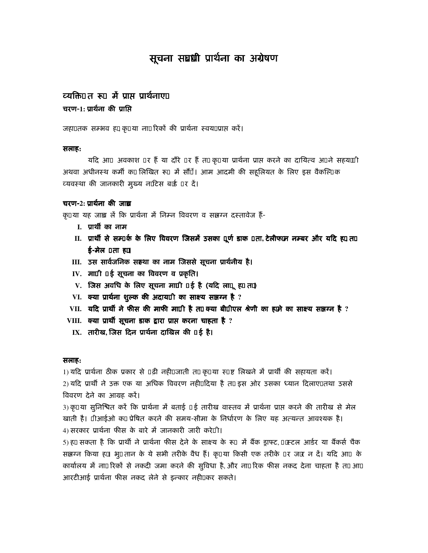## सूचना स**0धी** प्रार्थना का अग्रेषण

## व्यक्ति" त रू में प्राप्त प्रार्थनाए0

चरण-1: पार्थना की पाप्ति

जहा0तक सम्भव ह), कृ या ना" रिकों की प्रार्थना स्वय0प्राप्त करें।

#### सलाह:

यदि आ अवकाश र हैं या दौरे र हैं त) कृ या प्रार्थना प्राप्त करने का दायित्व अ ने सहय)"ी अथवा अधीनस्थ कर्मी क) लिखित रू) में सौंँ। आम आदमी की सहूलियत के लिए इस वैकल्िक व्यवस्था की जानकारी मुख्य न)टिस ब)ई र दें।

#### चरण-2: प्रार्थना की जा**ल**

कृ या यह जा**ा** लें कि प्रार्थना में निम्न विवरण व स**भ**ग्न दस्तावेज हैं-

- I. प्रार्थी का नाम
- II. प्रार्थी से सम् के के लिए विवरण जिसमें उसका ूर्ण डाक ता, टेलीफ)न नम्बर और यदि ह), त) ई-मेल ता ह)।
- III. उस सार्वजनिक स<del>8्था</del> का नाम जिससे सूचना प्रार्थनीय है।
- IV. माणे " ई सूचना का विवरण व प्रकृति।
- V. जिस अवधि के लिए सूचना माणी "ई है (यदि ला" ह) त))
- VI. क्या प्रार्थना शुल्क की अदाय"ी का साक्ष्य संस्रग्न है ?
- VII. यदि प्रार्थी ने फीस की माफी माणी है त) क्या बी ीएल श्रेणी का ह)ने का साक्ष्य स**ञ्ज**न है ?
- VIII. क्या प्रार्थी सूचना डाक द्वारा प्राप्त करना चाहता है ?
- IX. तारीख, जिस दिन प्रार्थना दाखिल की " ई है।

#### सलाह:

1) यदि प्रार्थना ठीक प्रकार से ही नही0जाती त) कृ या स ष्ट लिखने में प्रार्थी की सहायता करें। 2) यदि प्रार्थी ने उक्त एक या अधिक विवरण नही0दिया है त) इस ओर उसका ध्यान दिलाए0तथा उससे विवरण देने का आग्रह करें।

3) कृ या सुनिश्चित करें कि प्रार्थना में बताई " ई तारीख वास्तव में प्रार्थना प्राप्त करने की तारीख से मेल खाती है। 'ीआईओ क) प्रेषित करने की समय-सीमा के निर्धारण के लिए यह अत्यन्त आवश्यक है। 4) सरकार प्रार्थना फीस के बारे में जानकारी जारी करे"ी।

5) ह) सकता है कि प्रार्थी ने प्रार्थना फीस देने के साक्ष्य के रूजिं बैंक डाफ्ट, )स्टल आर्डर या बैंकर्स चैक सख़ग्न किया ह)। भु" तान के ये सभी तरीके वैध हैं। कृ या किसी एक तरीके र ज)र न दें। यदि आ के कार्यालय में ना" रिकों से नकदी जमा करने की सुविधा है, और ना" रिक फीस नकद देना चाहता है त) आ आरटीआई प्रार्थना फीस नकद लेने से इन्कार नही0कर सकते।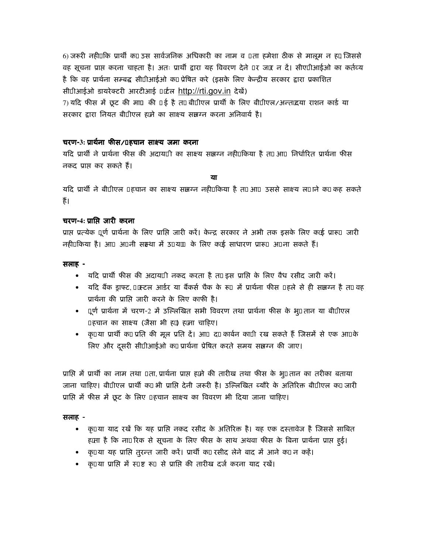6) जरूरी नही0कि प्रार्थी क) उस सार्वजनिक अधिकारी का नाम व ता हमेशा ठीक से मालूम न ह), जिससे वह सूचना प्राप्त करना चाहता है। अतः प्रार्थी द्वारा यह विवरण देने र ज)र न दें। सीए ीआईओ का कर्तव्य है कि वह प्रार्थना सम्बद्ध सी ीआईओ क) प्रेषित करे (इसके लिए केन्द्रीय सरकार द्वारा प्रकाशित सी 'ीआईओ डायरेक्टरी आरटीआई )र्टल http://rti.gov.in देखें) 7) यदि फीस में छूट की मा0 की " ई है त) बी ीएल प्रार्थी के लिए बी ीएल/अन्त)दया राशन कार्ड या सरकार द्वारा नियत बी ीएल ह)ने का साक्ष्य स**भ्र**ग्न करना अनिवार्य है।

#### चरण-3: प्रार्थना फीस⁄ हचान साक्ष्य जमा करना

यदि प्रार्थी ने प्रार्थना फीस की अदाय"ी का साक्ष्य संस्रग्न नही0किया है त) आ निर्धारित प्रार्थना फीस नकद प्राप्त कर सकते हैं।

या

यदि प्रार्थी ने बी ीएल हचान का साक्ष्य स**ा**ग्न नही0किया है त) आ उससे साक्ष्य ल" ाने क) कह सकते हैं।

#### चरण-4: प्राप्ति जारी करना

प्राप्त प्रत्येक ूर्ण प्रार्थना के लिए प्राप्ति जारी करें। केन्द्र सरकार ने अभी तक इसके लिए क)ई प्रारू जारी नही0किया है। आ- अ नी संस्था में उ य)" के लिए क)ई साधारण प्रारू अ ना सकते हैं।

#### सलाह -

- यदि प्रार्थी फीस की अदाय"ी नकद करता है त) इस प्राप्ति के लिए वैध रसीद जारी करें।
- यदि बैंक ड़ाफ्ट, )स्टल आर्डर या बैंकर्स चैक के रूजिं प्रार्थना फीस हले से ही संस्रग्न है त) वह प्रार्थना की प्राप्ति जारी करने के लिए काफी है।
- ्र र्ण प्रार्थना में चरण-2 में उल्लिखित सभी विवरण तथा प्रार्थना फीस के भू" तान या बी ीएल हचान का साक्ष्य (जैसा भी ह)) ह)ना चाहिए।
- क़ या प्रार्थी क) प्रति की मूल प्रति दें। आ द) कार्बन का 1े रख सकते हैं जिसमें से एक आ के लिए और दूसरी सी 'आईओ क) प्रार्थना प्रेषित करते समय संस्रग्न की जाए।

प्राप्ति में प्रार्थी का नाम तथा ता, प्रार्थना प्राप्त ह)ने की तारीख तथा फीस के भु" तान का तरीका बताया जाना चाहिए। बी ीएल प्रार्थी क) भी प्राप्ति देनी जरूरी है। उल्लिखित ब्यौरे के अतिरिक्त बी ीएल क) जारी प्राप्ति में फीस में छूट के लिए हचान साक्ष्य का विवरण भी दिया जाना चाहिए।

#### सलाह -

- कृ या याद रखें कि यह प्राप्ति नकद रसीद के अतिरिक्त है। यह एक दस्तावेज है जिससे साबित ह)ता है कि ना" रिक से सूचना के लिए फीस के साथ अथवा फीस के बिना प्रार्थना प्राप्त हुई।
- क़ या यह प्राप्ति तुरन्त जारी करें। प्रार्थी क) रसीद लेने बाद में आने क) न कहें।
- कृया प्राप्ति में स् ष्ट रूसे प्राप्ति की तारीख दर्ज करना याद रखें।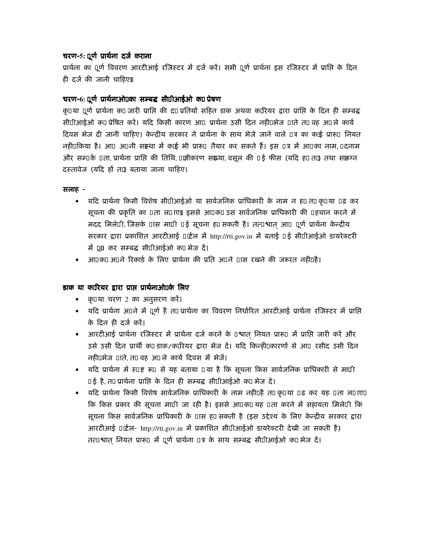#### चरण-5: ूर्ण प्रार्थना दर्ज कराना

प्रार्थना का ूर्ण विवरण आरटीआई रजिस्टर में दर्ज करें। सभी ूर्ण प्रार्थना इस रजिस्टर में प्राप्ति के दिन ही दर्ज की जानी चाहिए**0** 

### चरण-6: ूर्ण प्रार्थनाओ0का सम्बद्ध सी 'ीआईओ क) प्रेषण

कृ या ूर्ण प्रार्थना क) जारी प्राप्ति की द) प्रतियों सहित डाक अथवा क)रियर द्वारा प्राप्ति के दिन ही सम्बद्ध सी ीआईओ क) प्रेषित करें। यदि किसी कारण आ प्रार्थना उसी दिन नही0भेज ।ते त) वह अ" ले कार्य दिवस भेज दी जानी चाहिए। केन्द्रीय सरकार ने प्रार्थना के साथ भेजे जाने वाले त्र का क)ई प्रारू नियत नही0किया है। आद्य अ नी संष्टथा में क)ई भी प्रारू तैयार कर सकते हैं। इस जिसे आ का नाम, दनाम और सम् कं) ता, प्रार्थना प्राप्ति की तिथि, "जीकरण संख्या, वसूल की " ई फीस (यदि ह) त)) तथा संस्नान दस्तावेज (यदि हों त)) बताया जाना चाहिए।

#### सलाह -

- यदि प्रार्थना किसी विशेष सी 'ीआईओ या सार्वजनिक प्राधिकारी के नाम न ह) त) क़ या ढ़ कर सूचना की प्रकृति का ता ल"।ए0 इससे आ क) उस सार्वजनिक प्राधिकारी की हचान करने में मदद मिले"ी, जिसके ास माणी " ई सूचना ह) सकती है। तत् श्वात् आ ूर्ण प्रार्थना केन्द्रीय सरकार द्वारा प्रकाशित आरटीआई )र्टल में http://rti.gov.in में बताई " ई सी 'ीआईओ डायरेक्टरी में 90 कर सम्बद्ध सी 'ीआईओ क) भेज दें।
- आ क) अ ने रिकार्ड के लिए प्रार्थना की प्रति अ ने ास रखने की जरूरत नही0है।

#### डाक या क)रियर द्वारा प्राप्त प्रार्थनाओ0के लिए

- कृ या चरण 2 का अनुसरण करें।
- यदि प्रार्थना अ ने में ूर्ण है त) प्रार्थना का विवरण निर्धारित आरटीआई प्रार्थना रजिस्टर में प्राप्ति के दिन ही दर्ज करें।
- आरटीआई प्रार्थना रजिस्टर में प्रार्थना दर्ज करने के श्वात् नियत प्रारू में प्राप्ति जारी करें और उसे उसी दिन प्रार्थी क) डाक/क)रियर द्वारा भेज दें। यदि किन्ही0कारणों से आर सीद उसी दिन नही0भेज ाते, त) वह अ" ले कार्य दिवस में भेजें।
- यदि प्रार्थना में स् ष्ट रू से यह बताया " या है कि सूचना किस सार्वजनिक प्राधिकारी से मा0ी " ई है, त) प्रार्थना प्राप्ति के दिन ही सम्बद्ध सी 'ीआईओ क) भेज दें।
- यदि प्रार्थना किसी विशेष सार्वजनिक प्राधिकारी के नाम नही0है त) कृ या द्ध कर यह ता ल"।ए0 कि किस प्रकार की सूचना मा0ी जा रही है। इससे आ क) यह ता करने में सहायता मिले"ी कि सूचना किस सार्वजनिक प्राधिकारी के ास ह) सकती है (इस उद्देश्य के लिए केन्द्रीय सरकार द्वारा आरटीआई )र्टल- http://rti.gov.in में प्रकाशित सी ीआईओ डायरेक्टरी देखी जा सकती है) तत श्वात नियत प्रारू में ूर्ण प्रार्थना त्र के साथ सम्बद्ध सी 'ीआईओ क) भेज दें।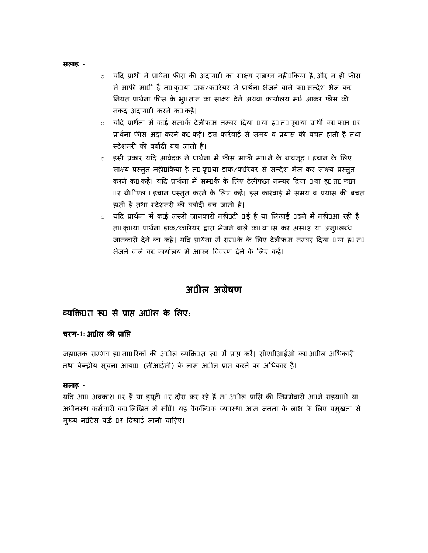सलाह -

- 0 यदि प्रार्थी ने प्रार्थना फीस की अदाय"ी का साक्ष्य संसरिग्न नही0किया है. और न ही फीस से माफी मा0ी है त) कृ या डाक/क)रियर से प्रार्थना भेजने वाले क) सन्देश भेज कर नियत प्रार्थना फीस के भू" तान का साक्ष्य देने अथवा कार्यालय म0े आकर फीस की नकद अदाय"ी करने क) कहें।
- ़ यदि प्रार्थना में क)ई सम् के टेलीफ)न नम्बर दिया " या ह) त) कृ या प्रार्थी क) फ)न र प्रार्थना फीस अदा करने क) कहै। इस कार्रवाई से समय व प्रयास की बचत हाती है तथा स्टेशनरी की बर्बादी बच जाती है।
- ं इसी प्रकार यदि आवेदक ने प्रार्थना में फीस माफी मा0ने के बावजूद) हचान के लिए साक्ष्य प्रस्तुत नही0किया है त) कृ या डाक/क)रियर से सन्देश भेज कर साक्ष्य प्रस्तुत करने क) कहें। यदि प्रार्थना में सम् के के लिए टेलीफ)न नम्बर दिया " या ह) त) फ)न र बी ीएल हचान प्रस्तुत करने के लिए कहें। इस कार्रवाई में समय व प्रयास की बचत ह)ती है तथा स्टेशनरी की बर्बादी बच जाती है।
- यदि प्रार्थना में क)ई जरूरी जानकारी नही0दी " ई है या लिखाई द्वने में नही0आ रही है  $\circ$ त) क या प्रार्थना डाक/क)रियर द्वारा भेजने वाले क) वा स कर अरू ष्ट या अनू लब्ध जानकारी देने का कहें। यदि प्रार्थना में सम् के के लिए टेलीफ)न नम्बर दिया " या ह) त) भेजने वाले क) कार्यालय में आकर विवरण देने के लिए कहें।

## अील अंग्रेषण

## व्यक्ति" त रू से प्राप्त अील के लिए:

### चरण-1: अील की प्राप्ति

जहा0तक सम्भव ह) ना" रिकों की अील व्यक्ति" त रूजिं प्राप्त करें। सीए 'ीआईओ क) अील अधिकारी तथा केन्द्रीय सूचना आय)" (सीआईसी) के नाम अील प्राप्त करने का अधिकार है।

#### सलाह -

यदि आ अवकाश र हैं या ड़यूटी र दौरा कर रहे हैं त) अील प्राप्ति की जिम्मेवारी अ ने सहय)"ी या अधीनस्थ कर्मचारी क) लिखित में सौं ें। यह वैकलि क व्यवस्था आम जनता के लाभ के लिए प्रमुखता से मुख्य न)टिस ब)ई र दिखाई जानी चाहिए।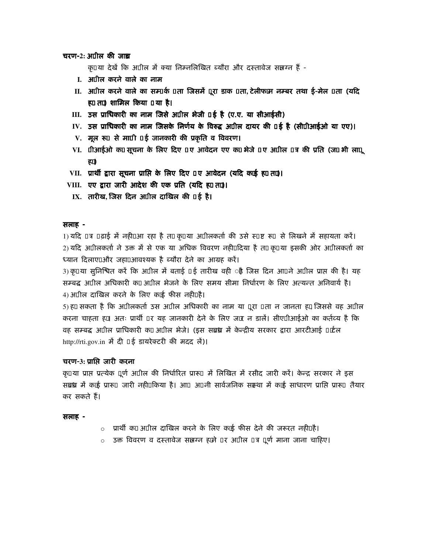चरण-2: अील की जाख

क या देखें कि अील में क्या निम्नलिखित ब्यौरा और दस्तावेज संस्नान हैं -

- I. अील करने वाले का नाम
- II. अील करने वाले का सम्र के ता जिसमें ूरा डाक ता, टेलीफ)न नम्बर तथा ई-मेल ता (यदि ह) त)) शामिल किया " या है।
- III. उस प्राधिकारी का नाम जिसे अील भेजी "ई है (ए.ए. या सीआईसी)
- IV. उस प्राधिकारी का नाम जिसके निर्णय के विरुद्ध अील दायर की "ई है (सी ीआईओ या एए)।
- V. मूल रू से माणी " ई जानकारी की प्रकृति व विवरण।
- VI. ीआईओ क) सूचना के लिए दिए " ए आवेदन एए क) भेजे " ए अील ब की प्रति (ज) भी ला"ू ह))
- VII. प्रार्थी द्वारा सूचना प्राप्ति के लिए दिए " ए आवेदन (यदि क)ई ह) त))।
- VIII. एए द्वारा जारी आदेश की एक प्रति (यदि ह) त))।
- IX. तारीख, जिस दिन अील दाखिल की " ई है।

#### सलाह -

1) यदि त्र द्वाई में नही0आ रहा है त) कृ या अीलकर्ता की उसे स् ष्ट रू से लिखने में सहायता करें। 2) यदि अीलकर्ता ने उक्त में से एक या अधिक विवरण नही0दिया है त) कृ या इसकी ओर अीलकर्ता का ध्यान दिलाए0और जहा0आवश्यक है ब्यौरा देने का आग्रह करें।

3) क़ या सुनिश्चित करें कि अील में बताई " ई तारीख वही ंछै जिस दिन आ ने अील प्राप्त की है। यह सम्बद्ध अील अधिकारी क) अील भेजने के लिए समय सीमा निर्धारण के लिए अत्यन्त अनिवार्य है। 4) अील दाखिल करने के लिए क)ई फीस नही0है।

5) ह) सकता है कि अीलकर्ता उस अील अधिकारी का नाम या ूरा ला न जानता ह), जिससे वह अील करना चाहता ह)। अतः प्रार्थी र यह जानकारी देने के लिए ज)र न डालें। सीए 1ेआईओ का कर्तव्य है कि वह सम्बद्ध अील प्राधिकारी क) अील भेजे। (इस स**60** में केन्द्रीय सरकार द्वारा आरटीआई )र्टल http://rti.gov.in में दी " ई डायरेक्टरी की मदद लें)।

#### चरण-3: प्राप्ति जारी करना

कृ या प्राप्त प्रत्येक ूर्ण अील की निर्धारित प्रारू में लिखित में रसीद जारी करें। केन्द्र सरकार ने इस स**®ध** में क)ई प्रारू जारी नही0किया है। आ अ नी सार्वजनिक स**®**था में क)ई साधारण प्राप्ति प्रारू तैयार कर सकते हैं।

#### सलाह -

- प्रार्थी क) अील दाखिल करने के लिए क)ई फीस देने की जरूरत नही0है।
- उक्त विवरण व दस्तावेज स6ाग्न ह)ने र अील त्र ूर्ण माना जाना चाहिए।